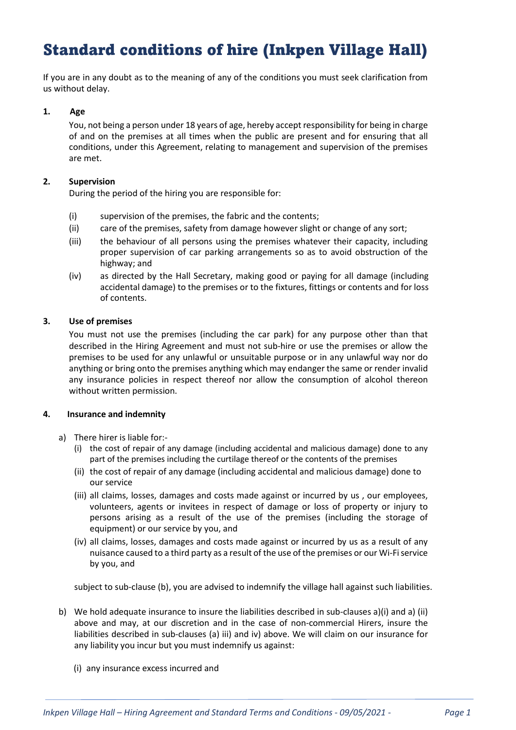# Standard conditions of hire (Inkpen Village Hall)

If you are in any doubt as to the meaning of any of the conditions you must seek clarification from us without delay.

## 1. Age

You, not being a person under 18 years of age, hereby accept responsibility for being in charge of and on the premises at all times when the public are present and for ensuring that all conditions, under this Agreement, relating to management and supervision of the premises are met.

## 2. Supervision

During the period of the hiring you are responsible for:

- (i) supervision of the premises, the fabric and the contents;
- (ii) care of the premises, safety from damage however slight or change of any sort;
- (iii) the behaviour of all persons using the premises whatever their capacity, including proper supervision of car parking arrangements so as to avoid obstruction of the highway; and
- (iv) as directed by the Hall Secretary, making good or paying for all damage (including accidental damage) to the premises or to the fixtures, fittings or contents and for loss of contents.

# 3. Use of premises

You must not use the premises (including the car park) for any purpose other than that described in the Hiring Agreement and must not sub-hire or use the premises or allow the premises to be used for any unlawful or unsuitable purpose or in any unlawful way nor do anything or bring onto the premises anything which may endanger the same or render invalid any insurance policies in respect thereof nor allow the consumption of alcohol thereon without written permission.

## 4. Insurance and indemnity

- a) There hirer is liable for:-
	- (i) the cost of repair of any damage (including accidental and malicious damage) done to any part of the premises including the curtilage thereof or the contents of the premises
	- (ii) the cost of repair of any damage (including accidental and malicious damage) done to our service
	- (iii) all claims, losses, damages and costs made against or incurred by us , our employees, volunteers, agents or invitees in respect of damage or loss of property or injury to persons arising as a result of the use of the premises (including the storage of equipment) or our service by you, and
	- (iv) all claims, losses, damages and costs made against or incurred by us as a result of any nuisance caused to a third party as a result of the use of the premises or our Wi-Fi service by you, and

subject to sub-clause (b), you are advised to indemnify the village hall against such liabilities.

- b) We hold adequate insurance to insure the liabilities described in sub-clauses a)(i) and a) (ii) above and may, at our discretion and in the case of non-commercial Hirers, insure the liabilities described in sub-clauses (a) iii) and iv) above. We will claim on our insurance for any liability you incur but you must indemnify us against:
	- (i) any insurance excess incurred and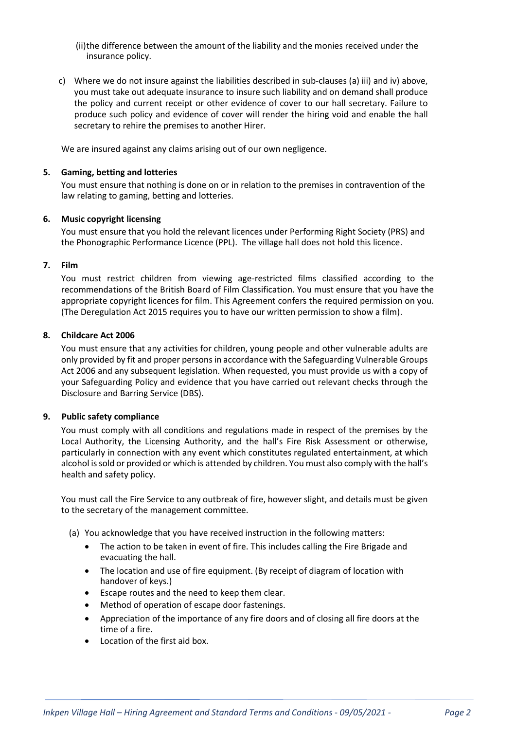(ii)the difference between the amount of the liability and the monies received under the insurance policy.

c) Where we do not insure against the liabilities described in sub-clauses (a) iii) and iv) above, you must take out adequate insurance to insure such liability and on demand shall produce the policy and current receipt or other evidence of cover to our hall secretary. Failure to produce such policy and evidence of cover will render the hiring void and enable the hall secretary to rehire the premises to another Hirer.

We are insured against any claims arising out of our own negligence.

#### 5. Gaming, betting and lotteries

You must ensure that nothing is done on or in relation to the premises in contravention of the law relating to gaming, betting and lotteries.

#### 6. Music copyright licensing

You must ensure that you hold the relevant licences under Performing Right Society (PRS) and the Phonographic Performance Licence (PPL). The village hall does not hold this licence.

#### 7. Film

You must restrict children from viewing age-restricted films classified according to the recommendations of the British Board of Film Classification. You must ensure that you have the appropriate copyright licences for film. This Agreement confers the required permission on you. (The Deregulation Act 2015 requires you to have our written permission to show a film).

## 8. Childcare Act 2006

You must ensure that any activities for children, young people and other vulnerable adults are only provided by fit and proper persons in accordance with the Safeguarding Vulnerable Groups Act 2006 and any subsequent legislation. When requested, you must provide us with a copy of your Safeguarding Policy and evidence that you have carried out relevant checks through the Disclosure and Barring Service (DBS).

## 9. Public safety compliance

You must comply with all conditions and regulations made in respect of the premises by the Local Authority, the Licensing Authority, and the hall's Fire Risk Assessment or otherwise, particularly in connection with any event which constitutes regulated entertainment, at which alcohol is sold or provided or which is attended by children. You must also comply with the hall's health and safety policy.

You must call the Fire Service to any outbreak of fire, however slight, and details must be given to the secretary of the management committee.

- (a) You acknowledge that you have received instruction in the following matters:
	- The action to be taken in event of fire. This includes calling the Fire Brigade and evacuating the hall.
	- The location and use of fire equipment. (By receipt of diagram of location with handover of keys.)
	- Escape routes and the need to keep them clear.
	- Method of operation of escape door fastenings.
	- Appreciation of the importance of any fire doors and of closing all fire doors at the time of a fire.
	- Location of the first aid box.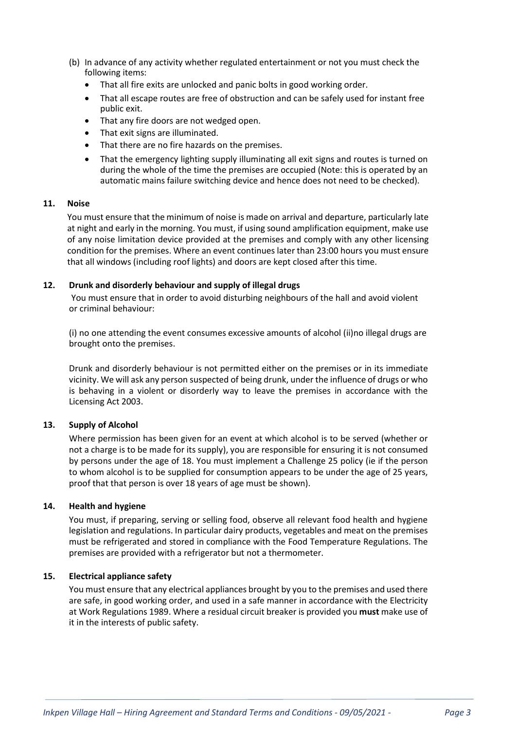- (b) In advance of any activity whether regulated entertainment or not you must check the following items:
	- That all fire exits are unlocked and panic bolts in good working order.
	- That all escape routes are free of obstruction and can be safely used for instant free public exit.
	- That any fire doors are not wedged open.
	- That exit signs are illuminated.
	- That there are no fire hazards on the premises.
	- That the emergency lighting supply illuminating all exit signs and routes is turned on during the whole of the time the premises are occupied (Note: this is operated by an automatic mains failure switching device and hence does not need to be checked).

## 11. Noise

You must ensure that the minimum of noise is made on arrival and departure, particularly late at night and early in the morning. You must, if using sound amplification equipment, make use of any noise limitation device provided at the premises and comply with any other licensing condition for the premises. Where an event continues later than 23:00 hours you must ensure that all windows (including roof lights) and doors are kept closed after this time.

## 12. Drunk and disorderly behaviour and supply of illegal drugs

You must ensure that in order to avoid disturbing neighbours of the hall and avoid violent or criminal behaviour:

(i) no one attending the event consumes excessive amounts of alcohol (ii)no illegal drugs are brought onto the premises.

Drunk and disorderly behaviour is not permitted either on the premises or in its immediate vicinity. We will ask any person suspected of being drunk, under the influence of drugs or who is behaving in a violent or disorderly way to leave the premises in accordance with the Licensing Act 2003.

## 13. Supply of Alcohol

Where permission has been given for an event at which alcohol is to be served (whether or not a charge is to be made for its supply), you are responsible for ensuring it is not consumed by persons under the age of 18. You must implement a Challenge 25 policy (ie if the person to whom alcohol is to be supplied for consumption appears to be under the age of 25 years, proof that that person is over 18 years of age must be shown).

## 14. Health and hygiene

You must, if preparing, serving or selling food, observe all relevant food health and hygiene legislation and regulations. In particular dairy products, vegetables and meat on the premises must be refrigerated and stored in compliance with the Food Temperature Regulations. The premises are provided with a refrigerator but not a thermometer.

## 15. Electrical appliance safety

You must ensure that any electrical appliances brought by you to the premises and used there are safe, in good working order, and used in a safe manner in accordance with the Electricity at Work Regulations 1989. Where a residual circuit breaker is provided you must make use of it in the interests of public safety.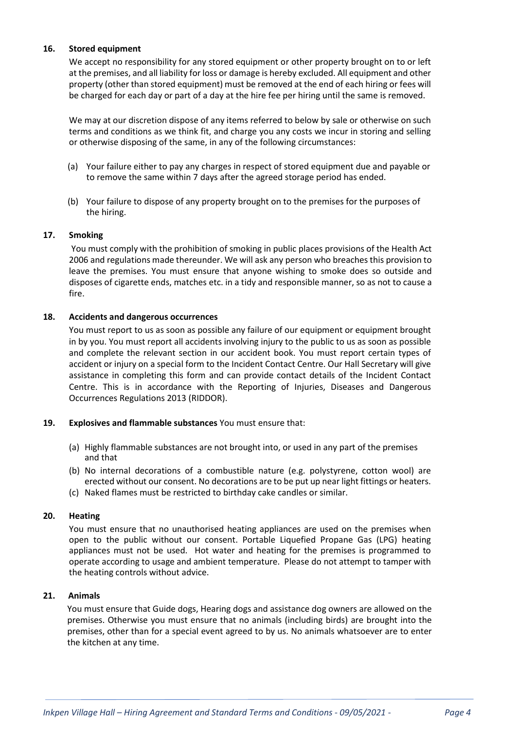## 16. Stored equipment

We accept no responsibility for any stored equipment or other property brought on to or left at the premises, and all liability for loss or damage is hereby excluded. All equipment and other property (other than stored equipment) must be removed at the end of each hiring or fees will be charged for each day or part of a day at the hire fee per hiring until the same is removed.

We may at our discretion dispose of any items referred to below by sale or otherwise on such terms and conditions as we think fit, and charge you any costs we incur in storing and selling or otherwise disposing of the same, in any of the following circumstances:

- (a) Your failure either to pay any charges in respect of stored equipment due and payable or to remove the same within 7 days after the agreed storage period has ended.
- (b) Your failure to dispose of any property brought on to the premises for the purposes of the hiring.

## 17. Smoking

You must comply with the prohibition of smoking in public places provisions of the Health Act 2006 and regulations made thereunder. We will ask any person who breaches this provision to leave the premises. You must ensure that anyone wishing to smoke does so outside and disposes of cigarette ends, matches etc. in a tidy and responsible manner, so as not to cause a fire.

#### 18. Accidents and dangerous occurrences

You must report to us as soon as possible any failure of our equipment or equipment brought in by you. You must report all accidents involving injury to the public to us as soon as possible and complete the relevant section in our accident book. You must report certain types of accident or injury on a special form to the Incident Contact Centre. Our Hall Secretary will give assistance in completing this form and can provide contact details of the Incident Contact Centre. This is in accordance with the Reporting of Injuries, Diseases and Dangerous Occurrences Regulations 2013 (RIDDOR).

## 19. Explosives and flammable substances You must ensure that:

- (a) Highly flammable substances are not brought into, or used in any part of the premises and that
- (b) No internal decorations of a combustible nature (e.g. polystyrene, cotton wool) are erected without our consent. No decorations are to be put up near light fittings or heaters.
- (c) Naked flames must be restricted to birthday cake candles or similar.

## 20. Heating

You must ensure that no unauthorised heating appliances are used on the premises when open to the public without our consent. Portable Liquefied Propane Gas (LPG) heating appliances must not be used. Hot water and heating for the premises is programmed to operate according to usage and ambient temperature. Please do not attempt to tamper with the heating controls without advice.

#### 21. Animals

You must ensure that Guide dogs, Hearing dogs and assistance dog owners are allowed on the premises. Otherwise you must ensure that no animals (including birds) are brought into the premises, other than for a special event agreed to by us. No animals whatsoever are to enter the kitchen at any time.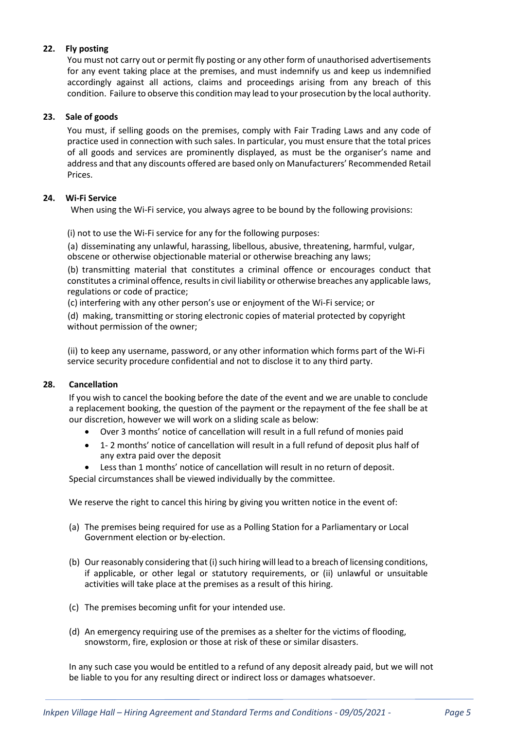# 22. Fly posting

You must not carry out or permit fly posting or any other form of unauthorised advertisements for any event taking place at the premises, and must indemnify us and keep us indemnified accordingly against all actions, claims and proceedings arising from any breach of this condition. Failure to observe this condition may lead to your prosecution by the local authority.

## 23. Sale of goods

You must, if selling goods on the premises, comply with Fair Trading Laws and any code of practice used in connection with such sales. In particular, you must ensure that the total prices of all goods and services are prominently displayed, as must be the organiser's name and address and that any discounts offered are based only on Manufacturers' Recommended Retail Prices.

## 24. Wi-Fi Service

When using the Wi-Fi service, you always agree to be bound by the following provisions:

(i) not to use the Wi-Fi service for any for the following purposes:

(a) disseminating any unlawful, harassing, libellous, abusive, threatening, harmful, vulgar, obscene or otherwise objectionable material or otherwise breaching any laws;

(b) transmitting material that constitutes a criminal offence or encourages conduct that constitutes a criminal offence, results in civil liability or otherwise breaches any applicable laws, regulations or code of practice;

(c) interfering with any other person's use or enjoyment of the Wi-Fi service; or

(d) making, transmitting or storing electronic copies of material protected by copyright without permission of the owner;

(ii) to keep any username, password, or any other information which forms part of the Wi-Fi service security procedure confidential and not to disclose it to any third party.

## 28. Cancellation

If you wish to cancel the booking before the date of the event and we are unable to conclude a replacement booking, the question of the payment or the repayment of the fee shall be at our discretion, however we will work on a sliding scale as below:

- Over 3 months' notice of cancellation will result in a full refund of monies paid
- 1- 2 months' notice of cancellation will result in a full refund of deposit plus half of any extra paid over the deposit
- Less than 1 months' notice of cancellation will result in no return of deposit.

Special circumstances shall be viewed individually by the committee.

We reserve the right to cancel this hiring by giving you written notice in the event of:

- (a) The premises being required for use as a Polling Station for a Parliamentary or Local Government election or by-election.
- (b) Our reasonably considering that (i) such hiring will lead to a breach of licensing conditions, if applicable, or other legal or statutory requirements, or (ii) unlawful or unsuitable activities will take place at the premises as a result of this hiring.
- (c) The premises becoming unfit for your intended use.
- (d) An emergency requiring use of the premises as a shelter for the victims of flooding, snowstorm, fire, explosion or those at risk of these or similar disasters.

In any such case you would be entitled to a refund of any deposit already paid, but we will not be liable to you for any resulting direct or indirect loss or damages whatsoever.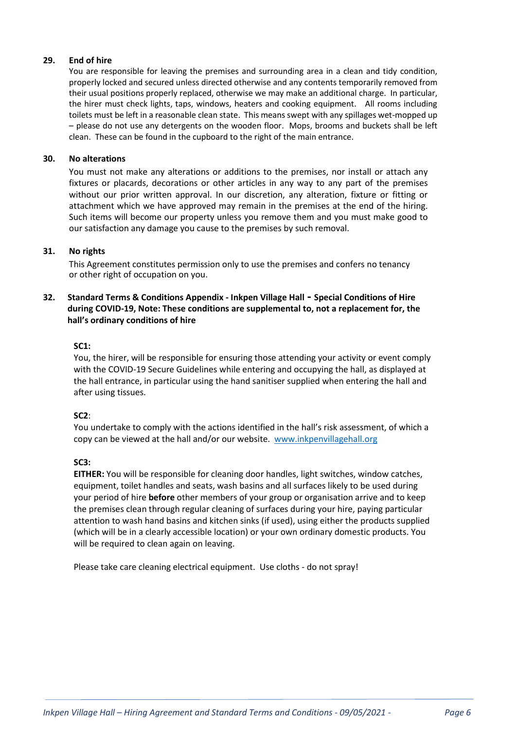# 29. End of hire

You are responsible for leaving the premises and surrounding area in a clean and tidy condition, properly locked and secured unless directed otherwise and any contents temporarily removed from their usual positions properly replaced, otherwise we may make an additional charge. In particular, the hirer must check lights, taps, windows, heaters and cooking equipment. All rooms including toilets must be left in a reasonable clean state. This means swept with any spillages wet-mopped up – please do not use any detergents on the wooden floor. Mops, brooms and buckets shall be left clean. These can be found in the cupboard to the right of the main entrance.

## 30. No alterations

You must not make any alterations or additions to the premises, nor install or attach any fixtures or placards, decorations or other articles in any way to any part of the premises without our prior written approval. In our discretion, any alteration, fixture or fitting or attachment which we have approved may remain in the premises at the end of the hiring. Such items will become our property unless you remove them and you must make good to our satisfaction any damage you cause to the premises by such removal.

# 31. No rights

This Agreement constitutes permission only to use the premises and confers no tenancy or other right of occupation on you.

# 32. Standard Terms & Conditions Appendix - Inkpen Village Hall - Special Conditions of Hire during COVID-19, Note: These conditions are supplemental to, not a replacement for, the hall's ordinary conditions of hire

## SC1:

You, the hirer, will be responsible for ensuring those attending your activity or event comply with the COVID-19 Secure Guidelines while entering and occupying the hall, as displayed at the hall entrance, in particular using the hand sanitiser supplied when entering the hall and after using tissues.

## SC<sub>2</sub>:

You undertake to comply with the actions identified in the hall's risk assessment, of which a copy can be viewed at the hall and/or our website. www.inkpenvillagehall.org

## SC3:

EITHER: You will be responsible for cleaning door handles, light switches, window catches, equipment, toilet handles and seats, wash basins and all surfaces likely to be used during your period of hire before other members of your group or organisation arrive and to keep the premises clean through regular cleaning of surfaces during your hire, paying particular attention to wash hand basins and kitchen sinks (if used), using either the products supplied (which will be in a clearly accessible location) or your own ordinary domestic products. You will be required to clean again on leaving.

Please take care cleaning electrical equipment. Use cloths - do not spray!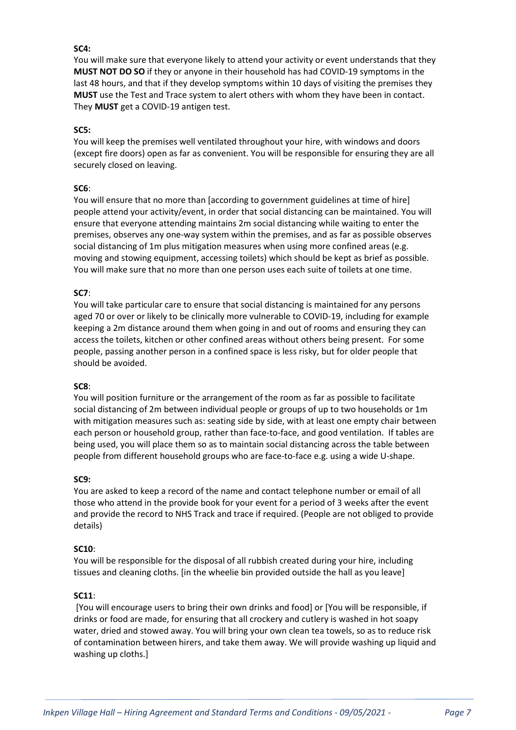# SC4:

You will make sure that everyone likely to attend your activity or event understands that they MUST NOT DO SO if they or anyone in their household has had COVID-19 symptoms in the last 48 hours, and that if they develop symptoms within 10 days of visiting the premises they MUST use the Test and Trace system to alert others with whom they have been in contact. They MUST get a COVID-19 antigen test.

## SC5:

You will keep the premises well ventilated throughout your hire, with windows and doors (except fire doors) open as far as convenient. You will be responsible for ensuring they are all securely closed on leaving.

# SC6:

You will ensure that no more than [according to government guidelines at time of hire] people attend your activity/event, in order that social distancing can be maintained. You will ensure that everyone attending maintains 2m social distancing while waiting to enter the premises, observes any one-way system within the premises, and as far as possible observes social distancing of 1m plus mitigation measures when using more confined areas (e.g. moving and stowing equipment, accessing toilets) which should be kept as brief as possible. You will make sure that no more than one person uses each suite of toilets at one time.

# SC7:

You will take particular care to ensure that social distancing is maintained for any persons aged 70 or over or likely to be clinically more vulnerable to COVID-19, including for example keeping a 2m distance around them when going in and out of rooms and ensuring they can access the toilets, kitchen or other confined areas without others being present. For some people, passing another person in a confined space is less risky, but for older people that should be avoided.

## SC8:

You will position furniture or the arrangement of the room as far as possible to facilitate social distancing of 2m between individual people or groups of up to two households or 1m with mitigation measures such as: seating side by side, with at least one empty chair between each person or household group, rather than face-to-face, and good ventilation. If tables are being used, you will place them so as to maintain social distancing across the table between people from different household groups who are face-to-face e.g. using a wide U-shape.

## SC9:

You are asked to keep a record of the name and contact telephone number or email of all those who attend in the provide book for your event for a period of 3 weeks after the event and provide the record to NHS Track and trace if required. (People are not obliged to provide details)

## SC10:

You will be responsible for the disposal of all rubbish created during your hire, including tissues and cleaning cloths. [in the wheelie bin provided outside the hall as you leave]

## SC11:

 [You will encourage users to bring their own drinks and food] or [You will be responsible, if drinks or food are made, for ensuring that all crockery and cutlery is washed in hot soapy water, dried and stowed away. You will bring your own clean tea towels, so as to reduce risk of contamination between hirers, and take them away. We will provide washing up liquid and washing up cloths.]